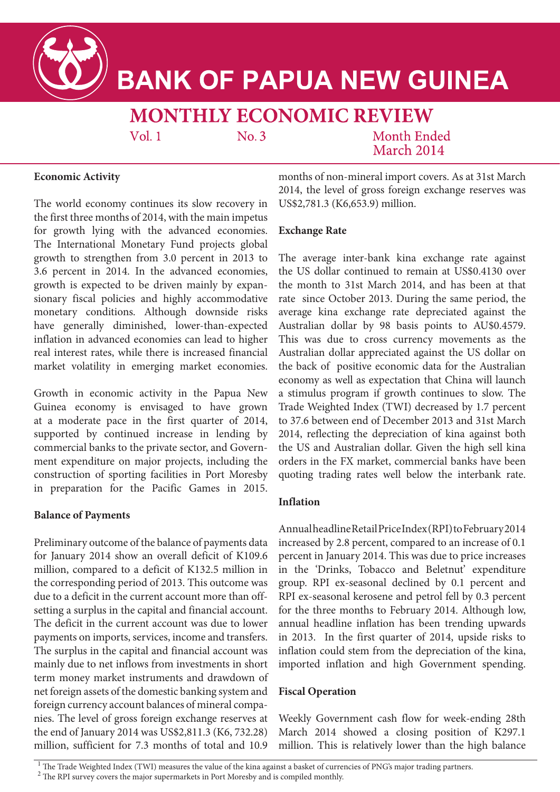

# **BANK OF PAPUA NEW GUINEA**

# **MONTHLY ECONOMIC REVIEW**

 $Vol<sub>1</sub>$ 

 $No.3$ 

**Month Ended** March 2014

### **Economic Activity**

The world economy continues its slow recovery in the first three months of 2014, with the main impetus for growth lying with the advanced economies. The International Monetary Fund projects global growth to strengthen from 3.0 percent in 2013 to 3.6 percent in 2014. In the advanced economies, growth is expected to be driven mainly by expansionary fiscal policies and highly accommodative monetary conditions. Although downside risks have generally diminished, lower-than-expected inflation in advanced economies can lead to higher real interest rates, while there is increased financial market volatility in emerging market economies.

Growth in economic activity in the Papua New Guinea economy is envisaged to have grown at a moderate pace in the first quarter of 2014, supported by continued increase in lending by commercial banks to the private sector, and Government expenditure on major projects, including the construction of sporting facilities in Port Moresby in preparation for the Pacific Games in 2015.

### **Balance of Payments**

Preliminary outcome of the balance of payments data for January 2014 show an overall deficit of K109.6 million, compared to a deficit of K132.5 million in the corresponding period of 2013. This outcome was due to a deficit in the current account more than offsetting a surplus in the capital and financial account. The deficit in the current account was due to lower payments on imports, services, income and transfers. The surplus in the capital and financial account was mainly due to net inflows from investments in short term money market instruments and drawdown of net foreign assets of the domestic banking system and foreign currency account balances of mineral companies. The level of gross foreign exchange reserves at the end of January 2014 was US\$2,811.3 (K6, 732.28) million, sufficient for 7.3 months of total and 10.9 months of non-mineral import covers. As at 31st March 2014, the level of gross foreign exchange reserves was US\$2,781.3 (K6,653.9) million.

## **Exchange Rate**

The average inter-bank kina exchange rate against the US dollar continued to remain at US\$0.4130 over the month to 31st March 2014, and has been at that rate since October 2013. During the same period, the average kina exchange rate depreciated against the Australian dollar by 98 basis points to AU\$0.4579. This was due to cross currency movements as the Australian dollar appreciated against the US dollar on the back of positive economic data for the Australian economy as well as expectation that China will launch a stimulus program if growth continues to slow. The Trade Weighted Index (TWI) decreased by 1.7 percent to 37.6 between end of December 2013 and 31st March 2014, reflecting the depreciation of kina against both the US and Australian dollar. Given the high sell kina orders in the FX market, commercial banks have been quoting trading rates well below the interbank rate.

# **Inflation**

Annual headline Retail Price Index (RPI) to February 2014 increased by 2.8 percent, compared to an increase of 0.1 percent in January 2014. This was due to price increases in the 'Drinks, Tobacco and Beletnut' expenditure group. RPI ex-seasonal declined by 0.1 percent and RPI ex-seasonal kerosene and petrol fell by 0.3 percent for the three months to February 2014. Although low, annual headline inflation has been trending upwards in 2013. In the first quarter of 2014, upside risks to inflation could stem from the depreciation of the kina, imported inflation and high Government spending.

# **Fiscal Operation**

Weekly Government cash flow for week-ending 28th March 2014 showed a closing position of K297.1 million. This is relatively lower than the high balance

<sup>1</sup> The Trade Weighted Index (TWI) measures the value of the kina against a basket of currencies of PNG's major trading partners.

<sup>2</sup> The RPI survey covers the major supermarkets in Port Moresby and is compiled monthly.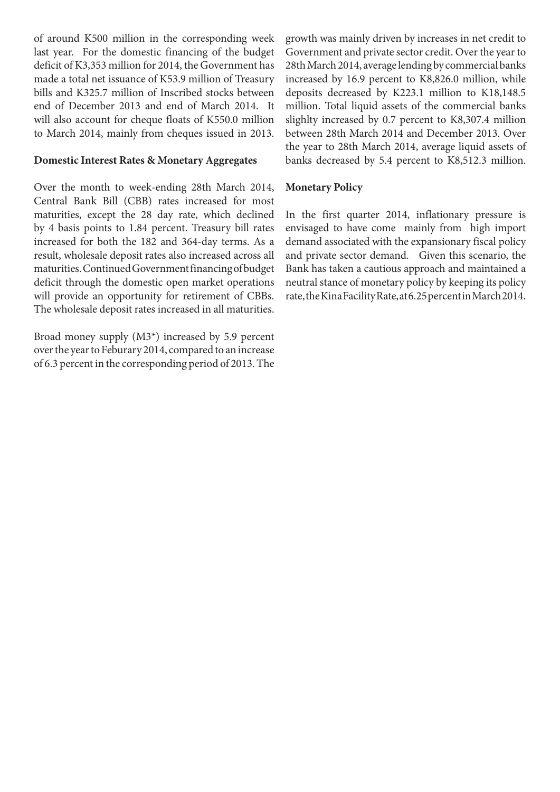of around K500 million in the corresponding week last year. For the domestic financing of the budget deficit of K3,353 million for 2014, the Government has made a total net issuance of K53.9 million of Treasury bills and K325.7 million of Inscribed stocks between end of December 2013 and end of March 2014. It will also account for cheque floats of K550.0 million to March 2014, mainly from cheques issued in 2013.

#### **Domestic Interest Rates & Monetary Aggregates**

Over the month to week-ending 28th March 2014, Central Bank Bill (CBB) rates increased for most maturities, except the 28 day rate, which declined by 4 basis points to 1.84 percent. Treasury bill rates increased for both the 182 and 364-day terms. As a result, wholesale deposit rates also increased across all maturities. Continued Government financing of budget deficit through the domestic open market operations will provide an opportunity for retirement of CBBs. The wholesale deposit rates increased in all maturities.

Broad money supply (M3\*) increased by 5.9 percent over the year to Feburary 2014, compared to an increase of 6.3 percent in the corresponding period of 2013. The growth was mainly driven by increases in net credit to Government and private sector credit. Over the year to 28th March 2014, average lending by commercial banks increased by 16.9 percent to K8,826.0 million, while deposits decreased by K223.1 million to K18,148.5 million. Total liquid assets of the commercial banks slighlty increased by 0.7 percent to K8,307.4 million between 28th March 2014 and December 2013. Over the year to 28th March 2014, average liquid assets of banks decreased by 5.4 percent to K8,512.3 million.

#### **Monetary Policy**

In the first quarter 2014, inflationary pressure is envisaged to have come mainly from high import demand associated with the expansionary fiscal policy and private sector demand. Given this scenario, the Bank has taken a cautious approach and maintained a neutral stance of monetary policy by keeping its policy rate, the Kina Facility Rate, at 6.25 percent in March 2014.